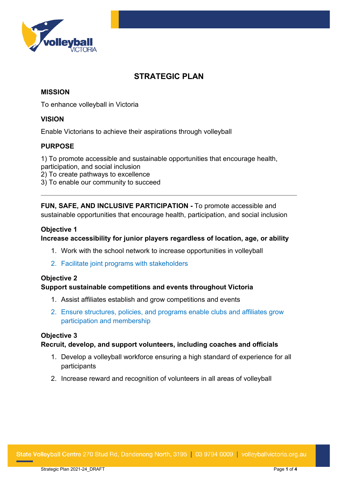

# **STRATEGIC PLAN**

## **MISSION**

To enhance volleyball in Victoria

#### **VISION**

Enable Victorians to achieve their aspirations through volleyball

### **PURPOSE**

1) To promote accessible and sustainable opportunities that encourage health, participation, and social inclusion 2) To create pathways to excellence 3) To enable our community to succeed

**FUN, SAFE, AND INCLUSIVE PARTICIPATION -** To promote accessible and sustainable opportunities that encourage health, participation, and social inclusion

#### **Objective 1**

**Increase accessibility for junior players regardless of location, age, or ability**

- 1. Work with the school network to increase opportunities in volleyball
- 2. Facilitate joint programs with stakeholders

## **Objective 2**

#### **Support sustainable competitions and events throughout Victoria**

- 1. Assist affiliates establish and grow competitions and events
- 2. Ensure structures, policies, and programs enable clubs and affiliates grow participation and membership

#### **Objective 3**

#### **Recruit, develop, and support volunteers, including coaches and officials**

- 1. Develop a volleyball workforce ensuring a high standard of experience for all participants
- 2. Increase reward and recognition of volunteers in all areas of volleyball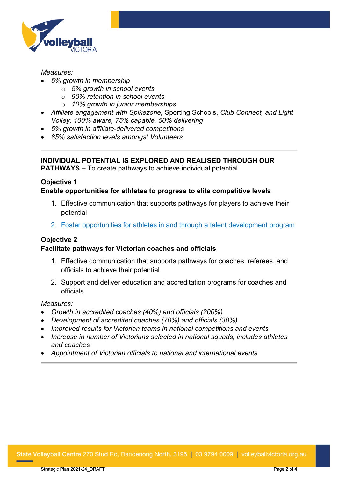

#### *Measures:*

- *5% growth in membership*
	- o *5% growth in school events*
	- o *90% retention in school events*
	- o *10% growth in junior memberships*
- *Affiliate engagement with Spikezone,* Sporting Schools, *Club Connect, and Light Volley; 100% aware, 75% capable, 50% delivering*
- *5% growth in affiliate-delivered competitions*
- *85% satisfaction levels amongst Volunteers*

### **INDIVIDUAL POTENTIAL IS EXPLORED AND REALISED THROUGH OUR**

**PATHWAYS –** To create pathways to achieve individual potential

#### **Objective 1 Enable opportunities for athletes to progress to elite competitive levels**

- 1. Effective communication that supports pathways for players to achieve their potential
- 2. Foster opportunities for athletes in and through a talent development program

## **Objective 2**

#### **Facilitate pathways for Victorian coaches and officials**

- 1. Effective communication that supports pathways for coaches, referees, and officials to achieve their potential
- 2. Support and deliver education and accreditation programs for coaches and officials

#### *Measures:*

- *Growth in accredited coaches (40%) and officials (200%)*
- *Development of accredited coaches (70%) and officials (30%)*
- *Improved results for Victorian teams in national competitions and events*
- *Increase in number of Victorians selected in national squads, includes athletes and coaches*
- *Appointment of Victorian officials to national and international events*

State Volleyball Centre 270 Stud Rd, Dandenong North, 3195 | 03 9794 0009 | volleyballvictoria.org.au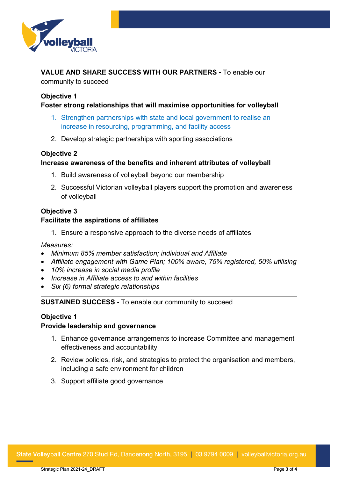

**VALUE AND SHARE SUCCESS WITH OUR PARTNERS -** To enable our community to succeed

#### **Objective 1**

#### **Foster strong relationships that will maximise opportunities for volleyball**

- 1. Strengthen partnerships with state and local government to realise an increase in resourcing, programming, and facility access
- 2. Develop strategic partnerships with sporting associations

#### **Objective 2**

#### **Increase awareness of the benefits and inherent attributes of volleyball**

- 1. Build awareness of volleyball beyond our membership
- 2. Successful Victorian volleyball players support the promotion and awareness of volleyball

## **Objective 3 Facilitate the aspirations of affiliates**

1. Ensure a responsive approach to the diverse needs of affiliates

*Measures:*

- *Minimum 85% member satisfaction; individual and Affiliate*
- *Affiliate engagement with Game Plan; 100% aware, 75% registered, 50% utilising*
- *10% increase in social media profile*
- *Increase in Affiliate access to and within facilities*
- *Six (6) formal strategic relationships*

## **SUSTAINED SUCCESS -** To enable our community to succeed

#### **Objective 1**

#### **Provide leadership and governance**

- 1. Enhance governance arrangements to increase Committee and management effectiveness and accountability
- 2. Review policies, risk, and strategies to protect the organisation and members, including a safe environment for children
- 3. Support affiliate good governance